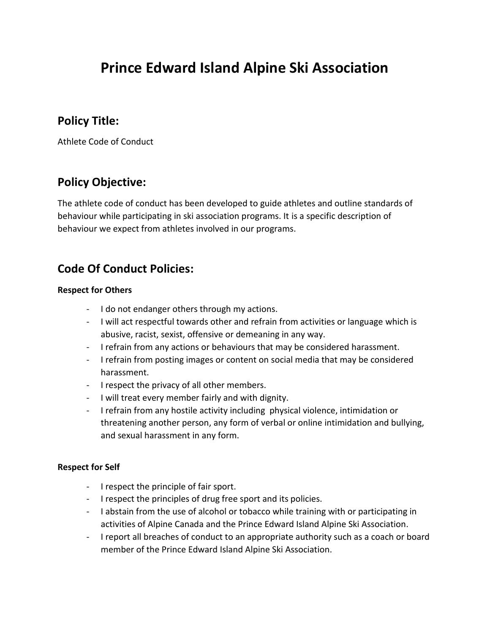# **Prince Edward Island Alpine Ski Association**

### **Policy Title:**

Athlete Code of Conduct

# **Policy Objective:**

The athlete code of conduct has been developed to guide athletes and outline standards of behaviour while participating in ski association programs. It is a specific description of behaviour we expect from athletes involved in our programs.

## **Code Of Conduct Policies:**

#### **Respect for Others**

- I do not endanger others through my actions.
- I will act respectful towards other and refrain from activities or language which is abusive, racist, sexist, offensive or demeaning in any way.
- I refrain from any actions or behaviours that may be considered harassment.
- I refrain from posting images or content on social media that may be considered harassment.
- I respect the privacy of all other members.
- I will treat every member fairly and with dignity.
- I refrain from any hostile activity including physical violence, intimidation or threatening another person, any form of verbal or online intimidation and bullying, and sexual harassment in any form.

#### **Respect for Self**

- I respect the principle of fair sport.
- I respect the principles of drug free sport and its policies.
- I abstain from the use of alcohol or tobacco while training with or participating in activities of Alpine Canada and the Prince Edward Island Alpine Ski Association.
- I report all breaches of conduct to an appropriate authority such as a coach or board member of the Prince Edward Island Alpine Ski Association.